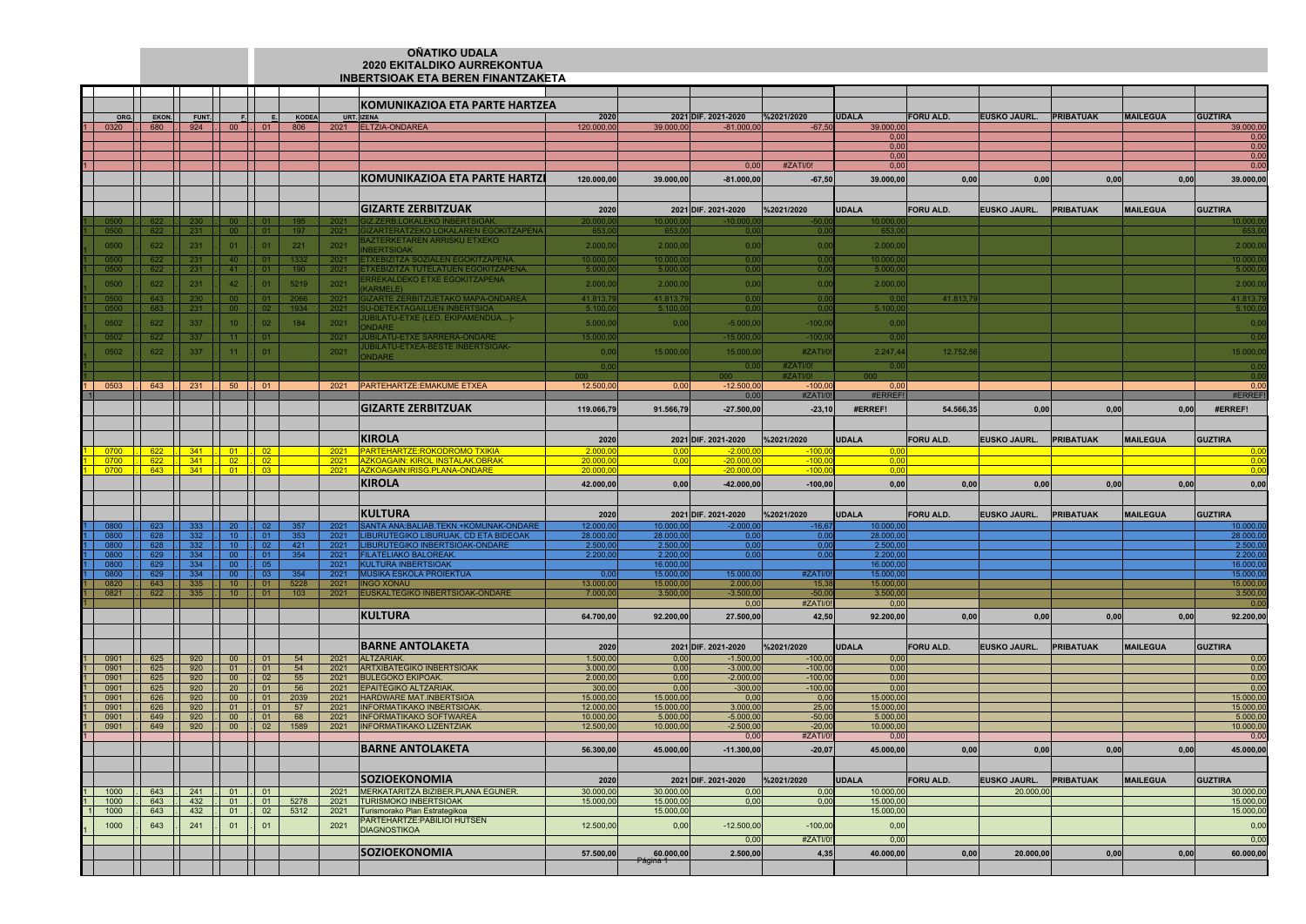## **OÑATIKO UDALA 2020 EKITALDIKO AURREKONTUAINBERTSIOAK ETA BEREN FINANTZAKETA**

|              |                                                            |                                    |                                                                                                                                              |                                            |                    |              | KOMUNIKAZIOA ETA PARTE HARTZEA                                                 |                        |                        |                                |                        |                        |                  |                        |                  |                 |                        |
|--------------|------------------------------------------------------------|------------------------------------|----------------------------------------------------------------------------------------------------------------------------------------------|--------------------------------------------|--------------------|--------------|--------------------------------------------------------------------------------|------------------------|------------------------|--------------------------------|------------------------|------------------------|------------------|------------------------|------------------|-----------------|------------------------|
|              | ORG. EKON.                                                 | FUNT.                              |                                                                                                                                              |                                            | <b>F.</b> E. KODEA | URT. IZENA   |                                                                                | 2020                   |                        | 2021 DIF. 2021-2020 %2021/2020 |                        | <b>UDALA</b>           | <b>FORU ALD.</b> | EUSKO JAURL. PRIBATUAK |                  | <b>MAILEGUA</b> | <b>GUZTIRA</b>         |
|              | $0320$ $. 680$                                             |                                    |                                                                                                                                              |                                            |                    |              | 2021 ELTZIA-ONDAREA                                                            | 120.000,00             | 39.000,00              | $-81.000,00$                   | $-67,5$                | 39.000,00              |                  |                        |                  |                 | 39.000,00              |
|              |                                                            |                                    |                                                                                                                                              |                                            |                    |              |                                                                                |                        |                        |                                |                        | 0,00<br>0.0(           |                  |                        |                  |                 | 0,00                   |
|              |                                                            |                                    |                                                                                                                                              |                                            |                    |              |                                                                                |                        |                        |                                |                        | 0,00                   |                  |                        |                  |                 | 0,00<br>0,00           |
|              |                                                            |                                    |                                                                                                                                              |                                            |                    |              |                                                                                |                        |                        | 0,0                            | #ZATI/0!               | 0,00                   |                  |                        |                  |                 | 0,00                   |
|              |                                                            |                                    |                                                                                                                                              |                                            |                    |              | KOMUNIKAZIOA ETA PARTE HARTZI                                                  | 120.000,00             | 39.000,00              | $-81.000,00$                   | $-67,50$               | 39.000,00              | 0,00             | 0,00                   | 0,00             | 0,00            | 39.000,00              |
|              |                                                            |                                    |                                                                                                                                              |                                            |                    |              |                                                                                |                        |                        |                                |                        |                        |                  |                        |                  |                 |                        |
|              |                                                            |                                    |                                                                                                                                              |                                            |                    |              |                                                                                |                        |                        |                                |                        |                        |                  |                        |                  |                 |                        |
|              |                                                            |                                    |                                                                                                                                              |                                            |                    |              | <b>GIZARTE ZERBITZUAK</b>                                                      | 2020                   |                        | 2021 DIF. 2021-2020            | %2021/2020             | <b>UDALA</b>           | FORU ALD.        | <b>EUSKO JAURL.</b>    | <b>PRIBATUAK</b> | <b>MAILEGUA</b> | <b>GUZTIRA</b>         |
|              |                                                            |                                    |                                                                                                                                              |                                            | 197                | 2021         | Z ZERB LOKALEKO IN<br><b>GIZARTERATZEKO LOKALAREN EGOKITZAPEN</b>              | 20.000.0<br>653.0      | 0.000.0<br>653.0       | 0.00                           | 0 <sup>0</sup>         | 653.0                  |                  |                        |                  |                 | 653.                   |
| 0500         | 622                                                        | 231 LL                             | $00$ 1.1                                                                                                                                     | - 01 -                                     |                    | 2021         | AZTERKETAREN ARRISKU ETXEKO                                                    |                        |                        |                                |                        |                        |                  |                        |                  |                 |                        |
| 0500         | 622                                                        | 231                                | 01                                                                                                                                           | 01                                         | 221                | 2021         | <b>BERTSIOAK</b>                                                               | 2.000,0                | 2.000,00               | 0,00                           | 0,0                    | 2.000,0                |                  |                        |                  |                 | 2.000,0                |
| 0500         | 622                                                        | 231                                | $40 \quad \Box$                                                                                                                              | 01                                         | 1332               |              | 2021 <b>ETXEBIZITZA SOZIALEN EGOKITZA</b>                                      | 10,000.0               | 10.000.00              | 0.00                           | 0.0                    | 10.000.0               |                  |                        |                  |                 | 10.000.0               |
| 0500         | 622                                                        |                                    | 231   41   01                                                                                                                                |                                            | 190                |              | 2021 ETXEBIZITZA TUTELATUEN EGOKITZAPEN<br>RREKALDEKO ETXE EGOKITZAPENA:       | 5.000,0                | 5,000.00               | 0,00                           | 0.0                    | 5.000,0                |                  |                        |                  |                 | 5.000(                 |
| 0500         | 622                                                        | 231                                | 42 <sup>°</sup>                                                                                                                              | 01                                         | 5219               | 2021         | <b>(ARMELE)</b>                                                                | 2,000.00               | 2.000,00               | 0,00                           | 0,00                   | 2.000,00               |                  |                        |                  |                 | 2.000,0                |
| 0500.        | 643                                                        | 230 L                              | 00 LL                                                                                                                                        |                                            |                    |              | 2021 GIZARTE ZERBITZUETAKO MAPA-ONDAREA                                        | 41.813,79              | 41.813,7               | 0.00                           | 0.0                    | 0.0                    | 41.813,7         |                        |                  |                 | 41.813,                |
| 0500         | 683                                                        |                                    | $231$ $1$ 00 $1$ 02                                                                                                                          |                                            | 1934               | 2021         | SU-DETEKTAGAILUEN INBERTSIOA                                                   | 5,100,0                | 5.100.00               | 0.00                           | 0.01                   | 5.100.00               |                  |                        |                  |                 | 5.100.                 |
| 0502         | 622                                                        | 337                                | $10-1$                                                                                                                                       | 02 <sub>2</sub>                            | 184                | 2021         | UBILATU-ETXE (LED. EKIPAMENDUA)-<br><b>NDARE</b>                               | 5.000.00               | 0.00                   | $-5.000,00$                    | $-100,0$               | 0,00                   |                  |                        |                  |                 | 0,0                    |
| 0502         | 622                                                        | $337 -$                            | 11 I.I                                                                                                                                       | 01.                                        |                    | 2021         | <b>JUBILATU-ETXE SARRERA-ONDARE</b>                                            | 15.000,00              |                        | $-15.000,00$                   | $-100,0$               | 00                     |                  |                        |                  |                 | 0.0                    |
| 0502         | 622                                                        | 337                                | 11                                                                                                                                           | 01                                         |                    | 2021         | <b>UBILATU-ETXEA-BESTE INBERTSIOAK-</b>                                        | 0,00                   | 15.000,00              | 15.000,00                      | #ZATI/                 | 2.247,44               | 12.752,5         |                        |                  |                 | 15.000,0               |
|              |                                                            |                                    |                                                                                                                                              |                                            |                    |              | <b>NDARE</b>                                                                   |                        |                        |                                |                        |                        |                  |                        |                  |                 |                        |
|              |                                                            |                                    |                                                                                                                                              |                                            |                    |              |                                                                                | 00                     |                        | 0.00                           | #ZATI/0!<br>#ZATI/C    | 00                     |                  |                        |                  |                 | 0.0<br>0.0             |
|              |                                                            | $0503$    643    231    50    01   |                                                                                                                                              |                                            |                    |              | 2021 PARTEHARTZE: EMAKUME ETXEA                                                | 12.500,00              | 0.00                   | 000.<br>$-12.500,00$           | $-100.0$               | 0.00                   |                  |                        |                  |                 | 0.00                   |
|              |                                                            |                                    |                                                                                                                                              |                                            |                    |              |                                                                                |                        |                        | 0.0                            | #ZATI/                 | #ERREF                 |                  |                        |                  |                 | #ERREF!                |
|              |                                                            |                                    |                                                                                                                                              |                                            |                    |              | <b>GIZARTE ZERBITZUAK</b>                                                      | 119.066.79             | 91.566.79              | $-27.500.00$                   | $-23,10$               | #FRRFF!                | 54.566.35        | 0,00                   | 0,00             | 0,00            | #ERREF!                |
|              |                                                            |                                    |                                                                                                                                              |                                            |                    |              |                                                                                |                        |                        |                                |                        |                        |                  |                        |                  |                 |                        |
|              |                                                            |                                    |                                                                                                                                              |                                            |                    |              |                                                                                |                        |                        |                                |                        |                        |                  |                        |                  |                 |                        |
|              |                                                            |                                    |                                                                                                                                              |                                            |                    |              | <b>KIROLA</b>                                                                  | 2020                   |                        | 2021 DIF. 2021-2020            | %2021/2020             | <b>UDALA</b>           | <b>FORU ALD.</b> | <b>EUSKO JAURL.</b>    | <b>PRIBATUAK</b> | <b>MAILEGUA</b> | <b>GUZTIRA</b>         |
| 0700<br>0700 | $\overline{1}$ 622                                         | 341<br>622 . 341 . 02 . 02         |                                                                                                                                              |                                            |                    | 2021<br>2021 | <b>PARTEHARTZE: ROKODROMO TXIKIA</b><br><b>AZKOAGAIN: KIROL INSTALAK.OBRAK</b> | 2.000.<br>20.000,      | 0 <sub>0</sub>         | <b>200C</b><br>$-20.000,$      | $-100$<br>$-100,0$     | 0,0                    |                  |                        |                  |                 | 0.00<br>0,00           |
| 0700         |                                                            | <mark>. 643 . 341 . 01 . 03</mark> |                                                                                                                                              |                                            |                    | 2021         | ZKOAGAIN:IRISG.PLANA-ONDARE                                                    | 20.00                  |                        | -20.0                          | -10                    |                        |                  |                        |                  |                 | $\cap$                 |
|              |                                                            |                                    |                                                                                                                                              |                                            |                    |              | <b>KIROLA</b>                                                                  | 42.000,00              | 0,00                   | $-42.000,00$                   | $-100,00$              | 0,00                   | 0,00             | 0,00                   | 0,00             | 0,00            | 0,00                   |
|              |                                                            |                                    |                                                                                                                                              |                                            |                    |              |                                                                                |                        |                        |                                |                        |                        |                  |                        |                  |                 |                        |
|              |                                                            |                                    |                                                                                                                                              |                                            |                    |              |                                                                                |                        |                        |                                |                        |                        |                  |                        |                  |                 |                        |
|              |                                                            |                                    |                                                                                                                                              |                                            |                    |              | <b>KULTURA</b>                                                                 | 2020                   |                        | 2021 DIF. 2021-2020            | %2021/2020             | <b>UDALA</b>           | <b>FORU ALD.</b> | <b>EUSKO JAURL.</b>    | <b>PRIBATUAK</b> | <b>MAILEGUA</b> | <b>GUZTIRA</b>         |
|              | 623                                                        |                                    |                                                                                                                                              | II 02                                      | 357                | 2021         | SANTA ANA: BALIAB. TEKN. + KOMUNAK-ONDAF                                       | 12,000,0               | 10,000                 | 2000                           |                        | 10.000 $($             |                  |                        |                  |                 | IN NOO C               |
| 0800<br>0800 | 628<br>$\begin{array}{ c c c c c } \hline \end{array}$ 628 | $332$  .                           | $332$ $\begin{bmatrix} 1 & 10 \end{bmatrix}$ $\begin{bmatrix} 0 & 2 \end{bmatrix}$                                                           | $10$ 01                                    | 353<br>421         | 2021         | LIBURUTEGIKO LIBURUAK, CD ETA BIDEOAK<br>2021 LIBURUTEGIKO INBERTSIOAK-ONDARE  | 28,000.0<br>2.500,00   | 28,000.0<br>2.500,00   | 00<br>0,00                     | 0 <sub>0</sub><br>0,00 | 28.000,00<br>2.500,00  |                  |                        |                  |                 | 28.000,0<br>2.500,00   |
| 0800         | 629                                                        | 334                                |                                                                                                                                              | 00 I.I 01                                  | 354                | 2021         | <b>FILATELIAKO BALOREAK</b>                                                    | 2.200.00               | 2.200,0                | 0 <sub>0</sub>                 | 0 <sub>0</sub>         | $2,200$ $0$            |                  |                        |                  |                 | 2.200C                 |
|              | 629                                                        | 334                                | 00 I                                                                                                                                         | - 05                                       |                    | 2021         | <b>KULTURA INBERTSIOAK</b>                                                     |                        | 16.000                 |                                |                        | 16,000.0               |                  |                        |                  |                 | 16.000.                |
| 0800         | 629                                                        | 334                                | 00 <sub>1</sub>                                                                                                                              | $\mathsf{L}$ 03                            | 354                | 2021         | <b>MUSIKA ESKOLA PROIEKTUA</b>                                                 | 0 <sub>0</sub>         | 15,000.0               | 15,000.00                      | #ZATI/                 | 15,000,0               |                  |                        |                  |                 | 15.000.0               |
| 0820<br>0821 | 643<br>$\begin{array}{c c c c c} 622 & \end{array}$        |                                    | $335$ $\begin{bmatrix} 1 & 10 & 1 & 01 \end{bmatrix}$<br>$335$ $\begin{bmatrix} 1 & 10 \end{bmatrix}$ $\begin{bmatrix} 1 & 01 \end{bmatrix}$ |                                            | 5228<br>103        |              | 2021 <b>INGO XONAU</b><br>2021 EUSKALTEGIKO INBERTSIOAK-ONDARE                 | 13,000.0<br>7.000,00   | 15,000.0<br>3.500,0    | 2.000.0<br>$-3.500,00$         | 15.3<br>$-50.0$        | 15,000.00<br>3.500,00  |                  |                        |                  |                 | 15,000.0<br>3.500,00   |
|              |                                                            |                                    |                                                                                                                                              |                                            |                    |              |                                                                                |                        |                        | 0,00                           | #ZATI/0                | 0.00                   |                  |                        |                  |                 | 0.00                   |
|              |                                                            |                                    |                                                                                                                                              |                                            |                    |              | <b>KULTURA</b>                                                                 | 64.700,00              | 92.200,00              | 27.500,00                      | 42,50                  | 92.200,00              | 0,00             | 0,00                   | 0,00             | 0,00            | 92.200,00              |
|              |                                                            |                                    |                                                                                                                                              |                                            |                    |              |                                                                                |                        |                        |                                |                        |                        |                  |                        |                  |                 |                        |
|              |                                                            |                                    |                                                                                                                                              |                                            |                    |              |                                                                                |                        |                        |                                |                        |                        |                  |                        |                  |                 |                        |
|              |                                                            |                                    |                                                                                                                                              |                                            |                    |              | IBARNE ANTOLAKETA                                                              | 2020                   |                        | 2021 DIF. 2021-2020            | %2021/2020             | <b>UDALA</b>           | <b>FORU ALD.</b> | <b>EUSKO JAURL.</b>    | <b>PRIBATUAK</b> | <b>MAILEGUA</b> | <b>GUZTIRA</b>         |
| 0901         | 625                                                        | $920$ . 00                         |                                                                                                                                              | $\vert$ . 01                               | 54                 | 2021         | ALTZARIAK.                                                                     | 1.500,0                | 0.0                    | $-1.500($                      | $-100,$                | 0.01                   |                  |                        |                  |                 | 0,00                   |
| 0901<br>0901 | 625<br>625                                                 |                                    | $920$ . 01 . 01<br>$920$ . 00 . 02                                                                                                           |                                            | 54<br>55           | 2021<br>2021 | <b>ARTXIBATEGIKO INBERTSIOAK</b><br><b>BULEGOKO EKIPOAK.</b>                   | 3.000,00<br>2.000,00   | 0,00<br>0,00           | $-3.000,00$<br>$-2.000,00$     | $-100,0$<br>$-100,0$   | 0,00<br>0,00           |                  |                        |                  |                 | 0,00<br>0,00           |
| 0901         | 625                                                        | 920                                |                                                                                                                                              | $20$ $\begin{array}{ c c } 01 \end{array}$ | 56                 | 2021         | <b>EPAITEGIKO ALTZARIAK</b>                                                    | 300,0                  | 0,00                   | $-300,0$                       | $-100,0$               | 0,00                   |                  |                        |                  |                 | 0,00                   |
| 0901         | 626                                                        | 920                                | 00                                                                                                                                           | $\overline{01}$                            | 2039               | 2021         | HARDWARE MAT.INBERTSIOA                                                        | 15.000,0               | 15.000,0               | 0,0                            | 0.0                    | 15.000,00              |                  |                        |                  |                 | 15.000,00              |
| 0901         | 626                                                        | 920                                | 01                                                                                                                                           | . 01                                       | 57                 | 2021         | <b>INFORMATIKAKO INBERTSIOAK</b>                                               | 12.000,00<br>10.000.0  | 15.000,00              | 3.000,00<br>$-5.000.0$         | 25,0                   | 15.000,00<br>5.000.00  |                  |                        |                  |                 | 15.000,00              |
| 0901<br>0901 | 649<br>649                                                 | 920<br>920                         | $\overline{1}$ 00<br>00                                                                                                                      | $\mathbf{L}$ 01<br>$\vert$ . 02            | 68<br>1589         | 2021<br>2021 | <b>INFORMATIKAKO SOFTWAREA</b><br><b>INFORMATIKAKO LIZENTZIAK</b>              | 12.500,00              | 5.000.0<br>10.000,0    | $-2.500,00$                    | $-50.0$<br>$-20,0$     | 10.000,00              |                  |                        |                  |                 | 5.000.00<br>10.000,00  |
|              |                                                            |                                    |                                                                                                                                              |                                            |                    |              |                                                                                |                        |                        | 0.00                           | #ZATI/0                | 0.00                   |                  |                        |                  |                 | 0,00                   |
|              |                                                            |                                    |                                                                                                                                              |                                            |                    |              | <b>BARNE ANTOLAKETA</b>                                                        | 56.300,00              | 45.000,00              | $-11.300,00$                   | $-20,07$               | 45.000,00              | 0,00             | 0,00                   | 0,00             | 0,00            | 45.000,00              |
|              |                                                            |                                    |                                                                                                                                              |                                            |                    |              |                                                                                |                        |                        |                                |                        |                        |                  |                        |                  |                 |                        |
|              |                                                            |                                    |                                                                                                                                              |                                            |                    |              |                                                                                |                        |                        |                                |                        |                        |                  |                        |                  |                 |                        |
|              |                                                            |                                    |                                                                                                                                              |                                            |                    |              | <b>SOZIOEKONOMIA</b>                                                           | 2020                   |                        | 2021 DIF. 2021-2020            | %2021/2020             | <b>UDALA</b>           | FORU ALD.        | EUSKO JAURL.           | <b>PRIBATUAK</b> | <b>MAILEGUA</b> | <b>GUZTIRA</b>         |
| 1000<br>1000 | 643<br>643                                                 | 241<br>432                         | .I 01<br>$\overline{01}$                                                                                                                     | $\mathbf{L}$ 01<br>$\overline{1.01}$       | 5278               | 2021<br>2021 | MERKATARITZA BIZIBER.PLANA EGUNER.<br><b>TURISMOKO INBERTSIOAK</b>             | 30.000,00<br>15,000.00 | 30,000.00<br>15,000.00 | 0.00<br>0.00                   | 0.01<br>0.00           | 10.000,00<br>15,000.00 |                  | 20.000,00              |                  |                 | 30.000,00<br>15,000,00 |
| 1000         | 643                                                        | 432                                | 01                                                                                                                                           | $\vert$ . 02                               | 5312               | 2021         | Turismorako Plan Estrategikoa                                                  |                        | 15.000,0               |                                |                        | 15.000,00              |                  |                        |                  |                 | 15.000,00              |
| 1000         | 643                                                        | 241                                | 01                                                                                                                                           | 01                                         |                    | 2021         | PARTEHARTZE: PABILIOI HUTSEN                                                   | 12.500,00              | 0,00                   | $-12.500,00$                   | $-100,00$              | 0,00                   |                  |                        |                  |                 | 0,00                   |
|              |                                                            |                                    |                                                                                                                                              |                                            |                    |              | <b>DIAGNOSTIKOA</b>                                                            |                        |                        |                                |                        |                        |                  |                        |                  |                 |                        |
|              |                                                            |                                    |                                                                                                                                              |                                            |                    |              |                                                                                |                        |                        | 0.0                            | #ZATI/                 | 0,00                   |                  |                        |                  |                 | 0,00                   |
|              |                                                            |                                    |                                                                                                                                              |                                            |                    |              | <b>SOZIOEKONOMIA</b>                                                           | 57.500,00              | 60.000,00              | 2.500,00                       | 4,35                   | 40.000,00              | 0,00             | 20.000,00              | 0,00             | 0,00            | 60.000,00              |
|              |                                                            |                                    |                                                                                                                                              |                                            |                    |              |                                                                                |                        |                        |                                |                        |                        |                  |                        |                  |                 |                        |